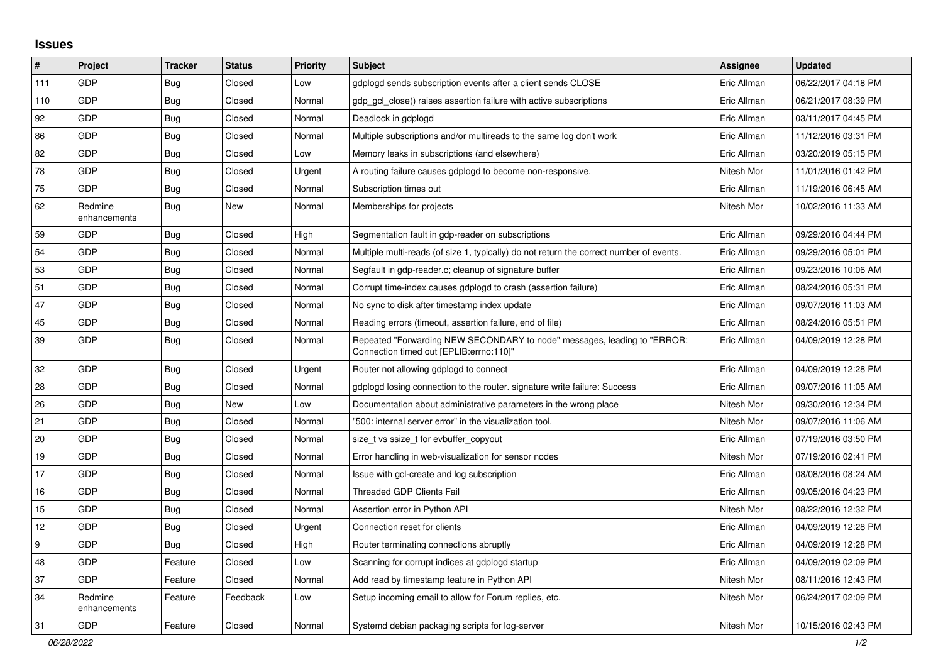## **Issues**

| $\sharp$         | Project                 | <b>Tracker</b> | <b>Status</b> | <b>Priority</b> | <b>Subject</b>                                                                                                      | <b>Assignee</b> | <b>Updated</b>      |
|------------------|-------------------------|----------------|---------------|-----------------|---------------------------------------------------------------------------------------------------------------------|-----------------|---------------------|
| 111              | GDP                     | Bug            | Closed        | Low             | gdplogd sends subscription events after a client sends CLOSE                                                        | Eric Allman     | 06/22/2017 04:18 PM |
| 110              | GDP                     | Bug            | Closed        | Normal          | gdp gcl close() raises assertion failure with active subscriptions                                                  | Eric Allman     | 06/21/2017 08:39 PM |
| 92               | GDP                     | <b>Bug</b>     | Closed        | Normal          | Deadlock in gdplogd                                                                                                 | Eric Allman     | 03/11/2017 04:45 PM |
| 86               | GDP                     | <b>Bug</b>     | Closed        | Normal          | Multiple subscriptions and/or multireads to the same log don't work                                                 | Eric Allman     | 11/12/2016 03:31 PM |
| 82               | GDP                     | <b>Bug</b>     | Closed        | Low             | Memory leaks in subscriptions (and elsewhere)                                                                       | Eric Allman     | 03/20/2019 05:15 PM |
| 78               | GDP                     | <b>Bug</b>     | Closed        | Urgent          | A routing failure causes gdplogd to become non-responsive.                                                          | Nitesh Mor      | 11/01/2016 01:42 PM |
| 75               | GDP                     | <b>Bug</b>     | Closed        | Normal          | Subscription times out                                                                                              | Eric Allman     | 11/19/2016 06:45 AM |
| 62               | Redmine<br>enhancements | Bug            | <b>New</b>    | Normal          | Memberships for projects                                                                                            | Nitesh Mor      | 10/02/2016 11:33 AM |
| 59               | GDP                     | <b>Bug</b>     | Closed        | High            | Segmentation fault in gdp-reader on subscriptions                                                                   | Eric Allman     | 09/29/2016 04:44 PM |
| 54               | <b>GDP</b>              | Bug            | Closed        | Normal          | Multiple multi-reads (of size 1, typically) do not return the correct number of events.                             | Eric Allman     | 09/29/2016 05:01 PM |
| 53               | GDP                     | <b>Bug</b>     | Closed        | Normal          | Segfault in gdp-reader.c; cleanup of signature buffer                                                               | Eric Allman     | 09/23/2016 10:06 AM |
| 51               | GDP                     | Bug            | Closed        | Normal          | Corrupt time-index causes gdplogd to crash (assertion failure)                                                      | Eric Allman     | 08/24/2016 05:31 PM |
| 47               | GDP                     | <b>Bug</b>     | Closed        | Normal          | No sync to disk after timestamp index update                                                                        | Eric Allman     | 09/07/2016 11:03 AM |
| 45               | GDP                     | <b>Bug</b>     | Closed        | Normal          | Reading errors (timeout, assertion failure, end of file)                                                            | Eric Allman     | 08/24/2016 05:51 PM |
| 39               | GDP                     | <b>Bug</b>     | Closed        | Normal          | Repeated "Forwarding NEW SECONDARY to node" messages, leading to "ERROR:<br>Connection timed out [EPLIB:errno:110]" | Eric Allman     | 04/09/2019 12:28 PM |
| 32               | GDP                     | <b>Bug</b>     | Closed        | Urgent          | Router not allowing gdplogd to connect                                                                              | Eric Allman     | 04/09/2019 12:28 PM |
| 28               | GDP                     | Bug            | Closed        | Normal          | gdplogd losing connection to the router. signature write failure: Success                                           | Eric Allman     | 09/07/2016 11:05 AM |
| 26               | GDP                     | <b>Bug</b>     | New           | Low             | Documentation about administrative parameters in the wrong place                                                    | Nitesh Mor      | 09/30/2016 12:34 PM |
| 21               | <b>GDP</b>              | <b>Bug</b>     | Closed        | Normal          | "500: internal server error" in the visualization tool.                                                             | Nitesh Mor      | 09/07/2016 11:06 AM |
| 20               | GDP                     | <b>Bug</b>     | Closed        | Normal          | size_t vs ssize_t for evbuffer_copyout                                                                              | Eric Allman     | 07/19/2016 03:50 PM |
| 19               | GDP                     | Bug            | Closed        | Normal          | Error handling in web-visualization for sensor nodes                                                                | Nitesh Mor      | 07/19/2016 02:41 PM |
| 17               | GDP                     | <b>Bug</b>     | Closed        | Normal          | Issue with gcl-create and log subscription                                                                          | Eric Allman     | 08/08/2016 08:24 AM |
| 16               | GDP                     | <b>Bug</b>     | Closed        | Normal          | <b>Threaded GDP Clients Fail</b>                                                                                    | Eric Allman     | 09/05/2016 04:23 PM |
| 15               | GDP                     | <b>Bug</b>     | Closed        | Normal          | Assertion error in Python API                                                                                       | Nitesh Mor      | 08/22/2016 12:32 PM |
| 12               | GDP                     | <b>Bug</b>     | Closed        | Urgent          | Connection reset for clients                                                                                        | Eric Allman     | 04/09/2019 12:28 PM |
| $\boldsymbol{9}$ | <b>GDP</b>              | <b>Bug</b>     | Closed        | High            | Router terminating connections abruptly                                                                             | Eric Allman     | 04/09/2019 12:28 PM |
| 48               | GDP                     | Feature        | Closed        | Low             | Scanning for corrupt indices at gdplogd startup                                                                     | Eric Allman     | 04/09/2019 02:09 PM |
| 37               | GDP                     | Feature        | Closed        | Normal          | Add read by timestamp feature in Python API                                                                         | Nitesh Mor      | 08/11/2016 12:43 PM |
| 34               | Redmine<br>enhancements | Feature        | Feedback      | Low             | Setup incoming email to allow for Forum replies, etc.                                                               | Nitesh Mor      | 06/24/2017 02:09 PM |
| 31               | GDP                     | Feature        | Closed        | Normal          | Systemd debian packaging scripts for log-server                                                                     | Nitesh Mor      | 10/15/2016 02:43 PM |